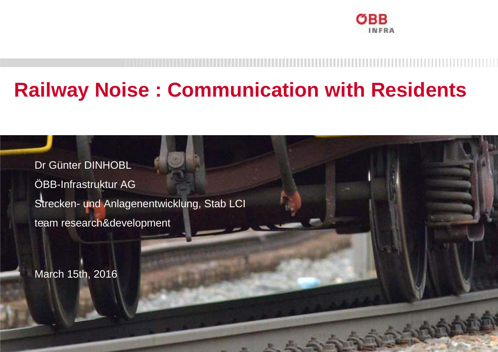

**1999 - Allen Andrew Miller, January McCommonwealth and School Commonwealth and School Commonwealth and School Commonwealth and School Commonwealth and School Commonwealth and School Commonwealth and School Commonwealth an** 

## **Railway Noise : Communication with Residents**

Dr Günter DINHOBLÖBB-Infrastruktur AG Strecken- und Anlagenentwicklung, Stab LCI team research&development

ÖBB-Infrastruktur AG / SAE-Stab LCI, Team research

March 15th, 2016

Günter Dinhobland in der Reichstand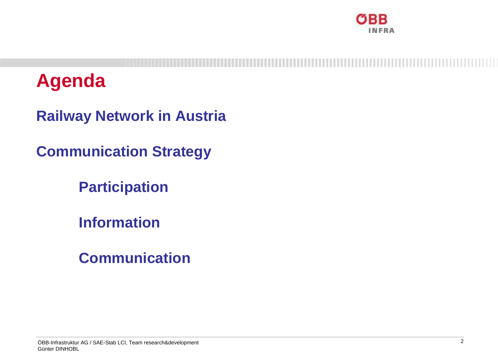

## **Agenda**

**Railway Network in Austria**

**Communication Strategy**

**Participation**

**Information**

**Communication**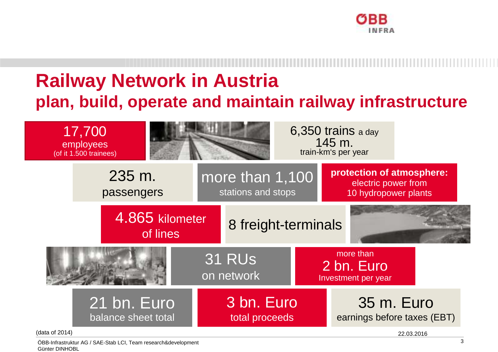

#### **Railway Network in Austriaplan, build, operate and maintain railway infrastructure**

17,700 employees(of it 1.500 trainees)



6,350 trains a day 145 m. train-km's per year

4.865 kilometermore than 1,100 stations and stops**protection of atmosphere:**electric power from 10 hydropower plants235 m. passengers

of lines 8 freight-terminals 31 RUs on networkmore than 2 bn. Euro Investment per year21 bn. Euro 3 bn. Euro 35 m. Euro

total proceeds

(data of 2014)

22.03.2016

earnings before taxes (EBT)

ÖBB-Infrastruktur AG / SAE-Stab LCI, Team research&developmentGünter DINHOBL

balance sheet total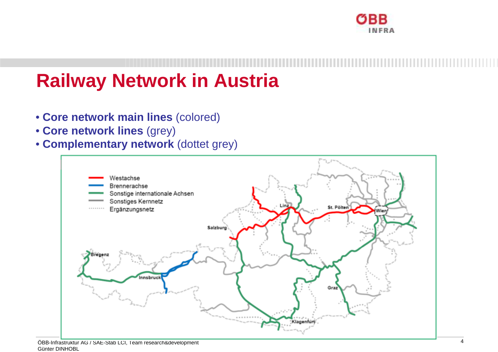

#### **Railway Network in Austria**

- **Core network main lines** (colored)
- **Core network lines** (grey)
- **Complementary network** (dottet grey)

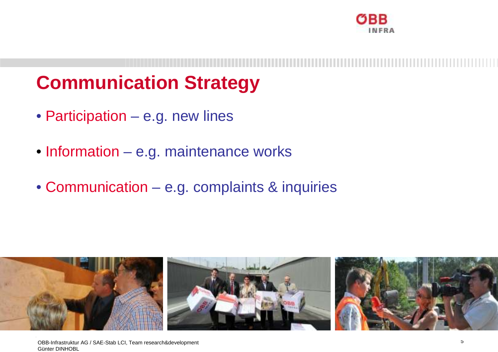

#### **Communication Strategy**

- Participation e.g. new lines
- Information e.g. maintenance works
- Communication e.g. complaints & inquiries

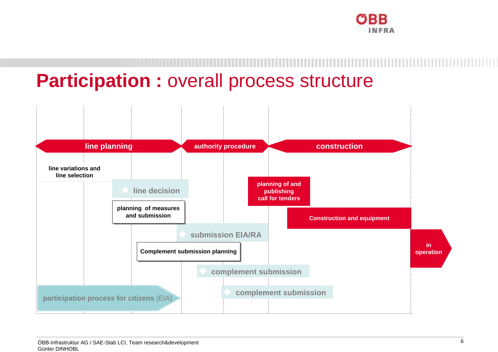

## **Participation** : overall process structure

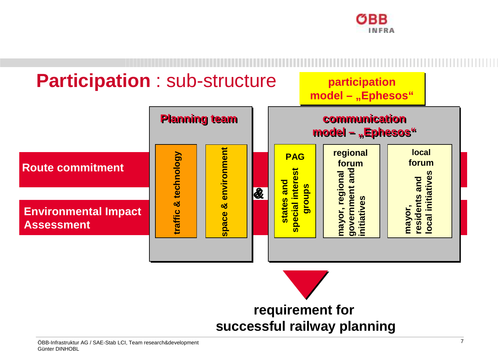

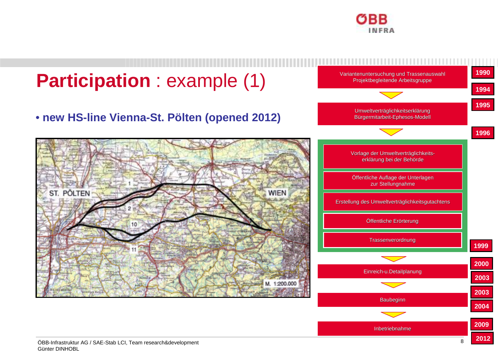

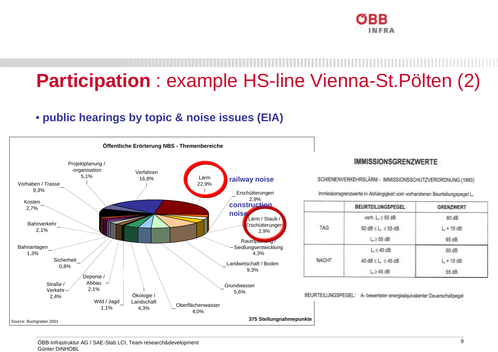

# **Participation** : example HS-line Vienna-St.Pölten (2)

#### • **public hearings by topic & noise issues (EIA)**

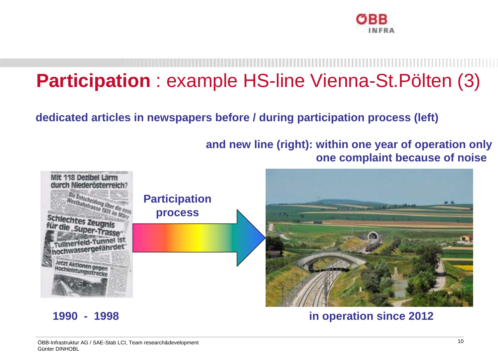

# **Participation** : example HS-line Vienna-St.Pölten (3)

**dedicated articles in newspapers before / during participation process (left)** 

**and new line (right): within one year of operation onlyone complaint because of noise**



**1990 - 1998 in operation since 2012**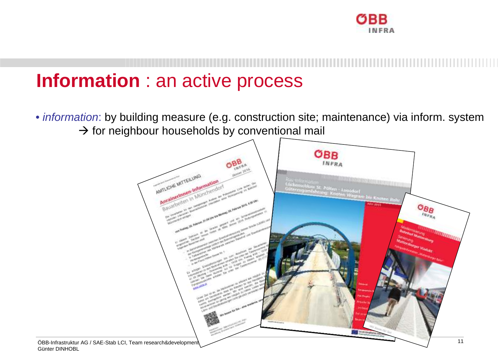

#### **Information** : an active process

• information: by building measure (e.g. construction site; maintenance) via inform. system $\rightarrow$  for neighbour households by conventional mail

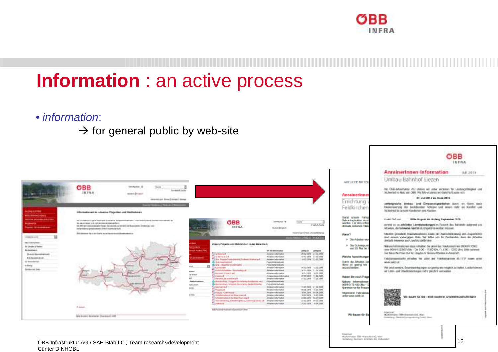

#### **Information** : an active process

- information:
	- $\rightarrow$  for general public by web-site

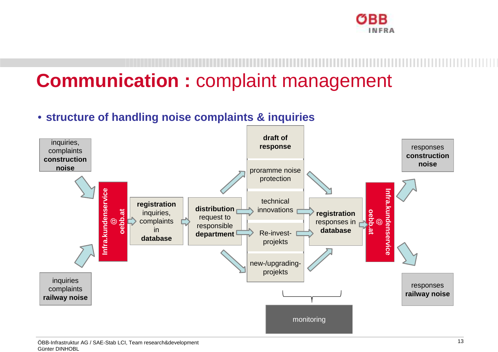

## **Communication :** complaint management

#### • **structure of handling noise complaints & inquiries**

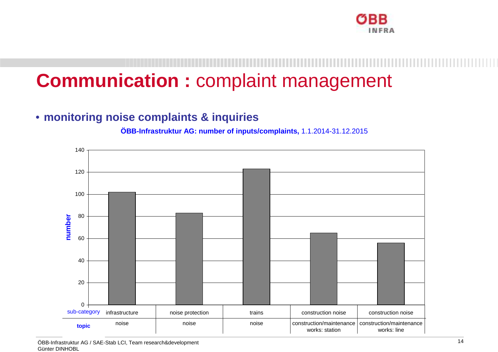

#### **Communication :** complaint management

#### • **monitoring noise complaints & inquiries**

**ÖBB-Infrastruktur AG: number of inputs/complaints,** 1.1.2014-31.12.2015



ÖBB-Infrastruktur AG / SAE-Stab LCI, Team research&developmentGünter DINHOBL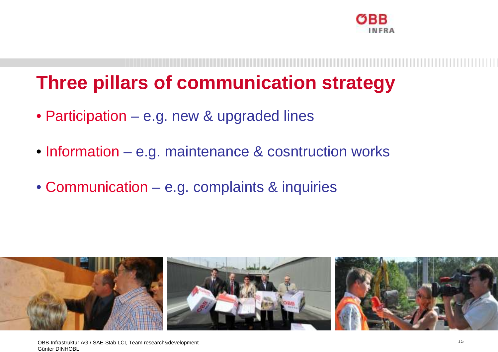

#### **Three pillars of communication strategy**

- Participation e.g. new & upgraded lines
- Information e.g. maintenance & cosntruction works
- Communication e.g. complaints & inquiries